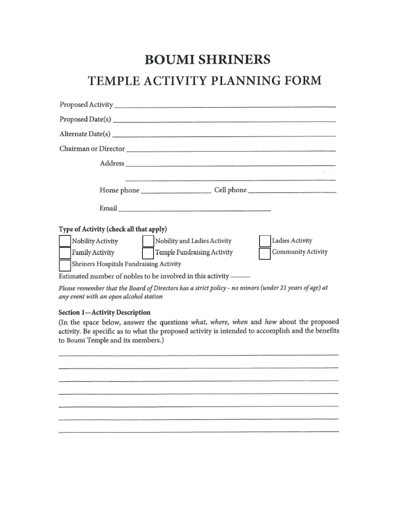# **BOUMI SHRINERS**

# TEMPLE ACTIVITY PLANNING FORM

| Proposed Date(s) expansion of the contract of the contract of the contract of the contract of the contract of the contract of the contract of the contract of the contract of the contract of the contract of the contract of |                    |
|-------------------------------------------------------------------------------------------------------------------------------------------------------------------------------------------------------------------------------|--------------------|
|                                                                                                                                                                                                                               |                    |
|                                                                                                                                                                                                                               |                    |
|                                                                                                                                                                                                                               |                    |
| Home phone _____________________________Cell phone _____________________________                                                                                                                                              |                    |
|                                                                                                                                                                                                                               |                    |
| Type of Activity (check all that apply)                                                                                                                                                                                       |                    |
| Nobility Activity Nobility and Ladies Activity                                                                                                                                                                                | Ladies Activity    |
| Temple Fundraising Activity<br>Family Activity                                                                                                                                                                                | Community Activity |
| Shriners Hospitals Fundraising Activity                                                                                                                                                                                       |                    |
| Estimated number of nobles to be involved in this activity ——                                                                                                                                                                 |                    |

Please remember that the Board of Directors has a strict policy - no minors (under 21 years of age) at any event with an open alcohol station

### Section 1-Activity Description

(In the space below, answer the questions what, where, when and how about the proposed activity. Be specific as to what the proposed activity is intended to accomplish and the benefits to Boumi Temple and its members.)

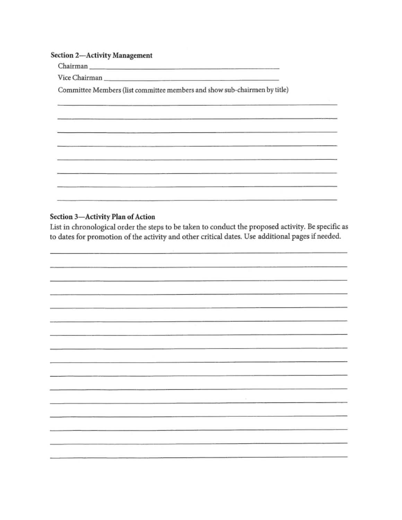### Section 2-Activity Management

Vice Chairman

Committee Members (list committee members and show sub-chairmen by title)

### Section 3-Activity Plan of Action

List in chronological order the steps to be taken to conduct the proposed activity. Be specific as to dates for promotion of the activity and other critical dates. Use additional pages if needed.

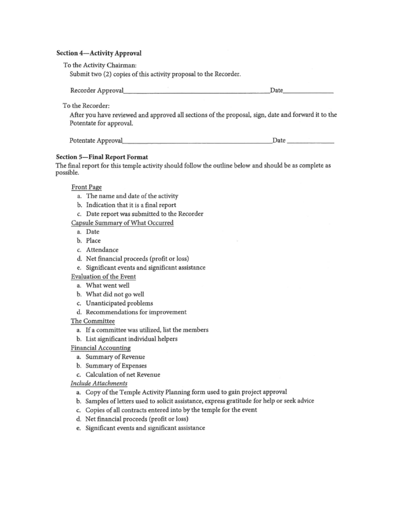#### Section 4-Activity Approval

To the Activity Chairman:

Submit two (2) copies of this activity proposal to the Recorder.

| Recorder Approval | Date |
|-------------------|------|
|                   |      |

To the Recorder:

After you have reviewed and approved all sections of the proposal, sign, date and forward it to the Potentate for approval.

| Potentate Approval | Date |
|--------------------|------|
|                    |      |

### **Section 5-Final Report Format**

The final report for this temple activity should follow the outline below and should be as complete as possible.

Front Page

- a. The name and date of the activity
- b. Indication that it is a final report
- c. Date report was submitted to the Recorder

### Capsule Summary of What Occurred

- a. Date
- b. Place
- c. Attendance
- d. Net financial proceeds (profit or loss)
- e. Significant events and significant assistance
- Evaluation of the Event
	- a. What went well
	- b. What did not go well
	- c. Unanticipated problems
	- d. Recommendations for improvement

### The Committee

- a. If a committee was utilized, list the members
- b. List significant individual helpers
- Financial Accounting
	- a. Summary of Revenue
	- b. Summary of Expenses
	- c. Calculation of net Revenue

### **Include Attachments**

- a. Copy of the Temple Activity Planning form used to gain project approval
- b. Samples of letters used to solicit assistance, express gratitude for help or seek advice
- c. Copies of all contracts entered into by the temple for the event
- d. Net financial proceeds (profit or loss)
- e. Significant events and significant assistance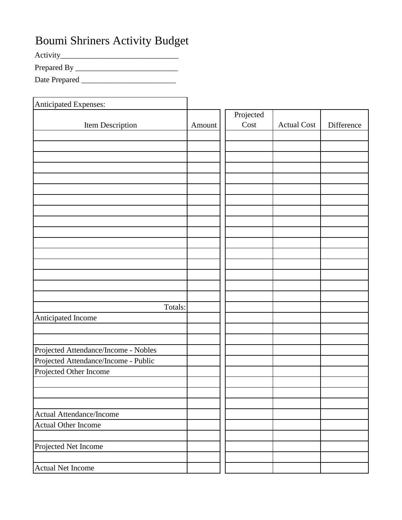# Boumi Shriners Activity Budget

Activity\_\_\_\_\_\_\_\_\_\_\_\_\_\_\_\_\_\_\_\_\_\_\_\_\_\_\_\_\_\_

Prepared By \_\_\_\_\_\_\_\_\_\_\_\_\_\_\_\_\_\_\_\_\_\_\_\_\_\_

Date Prepared \_\_\_\_\_\_\_\_\_\_\_\_\_\_\_\_\_\_\_\_\_\_\_\_

| Anticipated Expenses:                |        |                   |                    |            |
|--------------------------------------|--------|-------------------|--------------------|------------|
| Item Description                     | Amount | Projected<br>Cost | <b>Actual Cost</b> | Difference |
|                                      |        |                   |                    |            |
|                                      |        |                   |                    |            |
|                                      |        |                   |                    |            |
|                                      |        |                   |                    |            |
|                                      |        |                   |                    |            |
|                                      |        |                   |                    |            |
|                                      |        |                   |                    |            |
|                                      |        |                   |                    |            |
|                                      |        |                   |                    |            |
|                                      |        |                   |                    |            |
|                                      |        |                   |                    |            |
|                                      |        |                   |                    |            |
|                                      |        |                   |                    |            |
|                                      |        |                   |                    |            |
|                                      |        |                   |                    |            |
|                                      |        |                   |                    |            |
| Totals:                              |        |                   |                    |            |
| Anticipated Income                   |        |                   |                    |            |
|                                      |        |                   |                    |            |
|                                      |        |                   |                    |            |
| Projected Attendance/Income - Nobles |        |                   |                    |            |
| Projected Attendance/Income - Public |        |                   |                    |            |
| Projected Other Income               |        |                   |                    |            |
|                                      |        |                   |                    |            |
|                                      |        |                   |                    |            |
|                                      |        |                   |                    |            |
| Actual Attendance/Income             |        |                   |                    |            |
| <b>Actual Other Income</b>           |        |                   |                    |            |
|                                      |        |                   |                    |            |
| Projected Net Income                 |        |                   |                    |            |
|                                      |        |                   |                    |            |
| <b>Actual Net Income</b>             |        |                   |                    |            |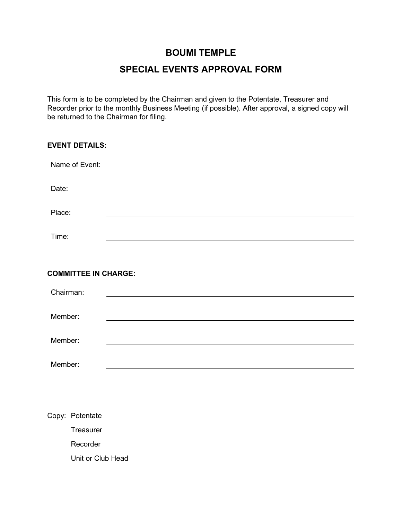## **SPECIAL EVENTS APPROVAL FORM**

This form is to be completed by the Chairman and given to the Potentate, Treasurer and Recorder prior to the monthly Business Meeting (if possible). After approval, a signed copy will be returned to the Chairman for filing.

| <b>EVENT DETAILS:</b>       |  |
|-----------------------------|--|
|                             |  |
| Date:                       |  |
| Place:                      |  |
| Time:                       |  |
|                             |  |
| <b>COMMITTEE IN CHARGE:</b> |  |
| Chairman:                   |  |
| Member:                     |  |
| Member:                     |  |
| Member:                     |  |

Copy: Potentate **Treasurer** Recorder Unit or Club Head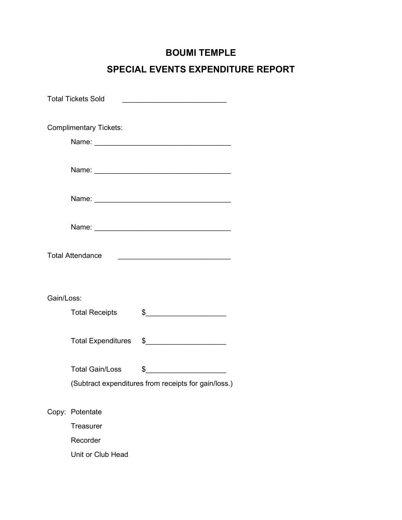## **SPECIAL EVENTS EXPENDITURE REPORT**

|            | <b>Total Tickets Sold</b>                            | <u>and the state of the state of the state of the state of the state of the state of the state of the state of the state of the state of the state of the state of the state of the state of the state of the state of the state</u> |  |
|------------|------------------------------------------------------|--------------------------------------------------------------------------------------------------------------------------------------------------------------------------------------------------------------------------------------|--|
|            | <b>Complimentary Tickets:</b>                        |                                                                                                                                                                                                                                      |  |
|            |                                                      |                                                                                                                                                                                                                                      |  |
|            |                                                      |                                                                                                                                                                                                                                      |  |
|            |                                                      |                                                                                                                                                                                                                                      |  |
|            |                                                      |                                                                                                                                                                                                                                      |  |
|            | <b>Total Attendance</b>                              |                                                                                                                                                                                                                                      |  |
|            |                                                      |                                                                                                                                                                                                                                      |  |
| Gain/Loss: |                                                      |                                                                                                                                                                                                                                      |  |
|            | <b>Total Receipts</b>                                | $\frac{1}{2}$                                                                                                                                                                                                                        |  |
|            |                                                      | Total Expenditures \$______________________                                                                                                                                                                                          |  |
|            | <b>Total Gain/Loss</b>                               | $\frac{1}{2}$                                                                                                                                                                                                                        |  |
|            | (Subtract expenditures from receipts for gain/loss.) |                                                                                                                                                                                                                                      |  |
|            | Copy: Potentate                                      |                                                                                                                                                                                                                                      |  |
|            | <b>Treasurer</b>                                     |                                                                                                                                                                                                                                      |  |
|            | Recorder                                             |                                                                                                                                                                                                                                      |  |
|            | Unit or Club Head                                    |                                                                                                                                                                                                                                      |  |
|            |                                                      |                                                                                                                                                                                                                                      |  |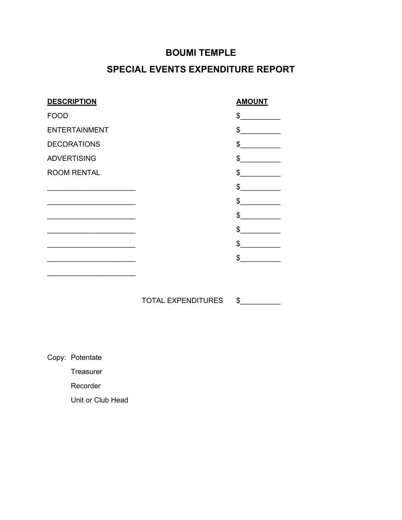## **SPECIAL EVENTS EXPENDITURE REPORT**

| <b>DESCRIPTION</b>                                                         | <b>AMOUNT</b>                                                                                                                                                                                                                                                                                                                                                                                                                   |
|----------------------------------------------------------------------------|---------------------------------------------------------------------------------------------------------------------------------------------------------------------------------------------------------------------------------------------------------------------------------------------------------------------------------------------------------------------------------------------------------------------------------|
| <b>FOOD</b>                                                                | \$                                                                                                                                                                                                                                                                                                                                                                                                                              |
| <b>ENTERTAINMENT</b>                                                       | $\frac{1}{\sqrt{1-\frac{1}{2}}}\frac{1}{\sqrt{1-\frac{1}{2}}}\frac{1}{\sqrt{1-\frac{1}{2}}}\frac{1}{\sqrt{1-\frac{1}{2}}}\frac{1}{\sqrt{1-\frac{1}{2}}}\frac{1}{\sqrt{1-\frac{1}{2}}}\frac{1}{\sqrt{1-\frac{1}{2}}}\frac{1}{\sqrt{1-\frac{1}{2}}}\frac{1}{\sqrt{1-\frac{1}{2}}}\frac{1}{\sqrt{1-\frac{1}{2}}}\frac{1}{\sqrt{1-\frac{1}{2}}}\frac{1}{\sqrt{1-\frac{1}{2}}}\frac{1}{\sqrt{1-\frac{1}{2}}}\frac{1}{\sqrt{1-\frac{$ |
| <b>DECORATIONS</b>                                                         | $\frac{1}{\sqrt{2}}$                                                                                                                                                                                                                                                                                                                                                                                                            |
| <b>ADVERTISING</b>                                                         | $\frac{1}{\sqrt{2}}$                                                                                                                                                                                                                                                                                                                                                                                                            |
| <b>ROOM RENTAL</b>                                                         | $^{\circ}$                                                                                                                                                                                                                                                                                                                                                                                                                      |
|                                                                            | \$                                                                                                                                                                                                                                                                                                                                                                                                                              |
| the control of the control of the control of the control of the control of | \$                                                                                                                                                                                                                                                                                                                                                                                                                              |
| the control of the control of the control of the control of the control of | $\frac{1}{\sqrt{2}}$                                                                                                                                                                                                                                                                                                                                                                                                            |
| the control of the control of the control of the control of the control of | \$                                                                                                                                                                                                                                                                                                                                                                                                                              |
|                                                                            | \$                                                                                                                                                                                                                                                                                                                                                                                                                              |
|                                                                            | \$                                                                                                                                                                                                                                                                                                                                                                                                                              |
|                                                                            |                                                                                                                                                                                                                                                                                                                                                                                                                                 |

TOTAL EXPENDITURES \$

Copy: Potentate Treasurer Recorder Unit or Club Head